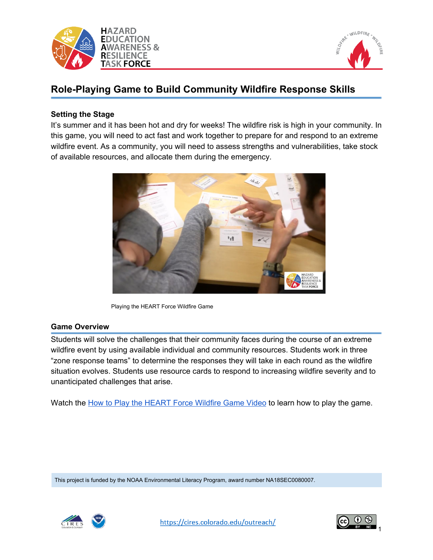



# **Role-Playing Game to Build Community Wildfire Response Skills**

### **Setting the Stage**

It's summer and it has been hot and dry for weeks! The wildfire risk is high in your community. In this game, you will need to act fast and work together to prepare for and respond to an extreme wildfire event. As a community, you will need to assess strengths and vulnerabilities, take stock of available resources, and allocate them during the emergency.



Playing the HEART Force Wildfire Game

#### **Game Overview**

Students will solve the challenges that their community faces during the course of an extreme wildfire event by using available individual and community resources. Students work in three "zone response teams" to determine the responses they will take in each round as the wildfire situation evolves. Students use resource cards to respond to increasing wildfire severity and to unanticipated challenges that arise.

Watch the How to Play the [HEART](https://cires.colorado.edu/outreach/resources/videos/how-play-heart-force-wildfire-game) Force Wildfire Game Video to learn how to play the game.

This project is funded by the NOAA Environmental Literacy Program, award number NA18SEC0080007.



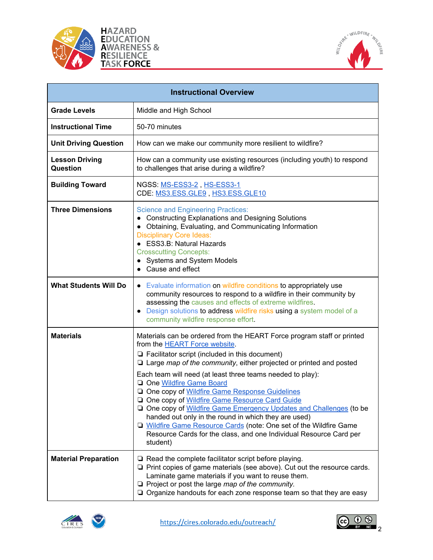





| <b>Instructional Overview</b>            |                                                                                                                                                                                                                                                                                                                                                                                                                                                                                                                                                                                                                                                                                                                               |  |
|------------------------------------------|-------------------------------------------------------------------------------------------------------------------------------------------------------------------------------------------------------------------------------------------------------------------------------------------------------------------------------------------------------------------------------------------------------------------------------------------------------------------------------------------------------------------------------------------------------------------------------------------------------------------------------------------------------------------------------------------------------------------------------|--|
| <b>Grade Levels</b>                      | Middle and High School                                                                                                                                                                                                                                                                                                                                                                                                                                                                                                                                                                                                                                                                                                        |  |
| <b>Instructional Time</b>                | 50-70 minutes                                                                                                                                                                                                                                                                                                                                                                                                                                                                                                                                                                                                                                                                                                                 |  |
| <b>Unit Driving Question</b>             | How can we make our community more resilient to wildfire?                                                                                                                                                                                                                                                                                                                                                                                                                                                                                                                                                                                                                                                                     |  |
| <b>Lesson Driving</b><br><b>Question</b> | How can a community use existing resources (including youth) to respond<br>to challenges that arise during a wildfire?                                                                                                                                                                                                                                                                                                                                                                                                                                                                                                                                                                                                        |  |
| <b>Building Toward</b>                   | NGSS: MS-ESS3-2, HS-ESS3-1<br>CDE: MS3.ESS.GLE9, HS3.ESS.GLE10                                                                                                                                                                                                                                                                                                                                                                                                                                                                                                                                                                                                                                                                |  |
| <b>Three Dimensions</b>                  | <b>Science and Engineering Practices:</b><br>• Constructing Explanations and Designing Solutions<br>• Obtaining, Evaluating, and Communicating Information<br><b>Disciplinary Core Ideas:</b><br>• ESS3.B: Natural Hazards<br><b>Crosscutting Concepts:</b><br>• Systems and System Models<br>• Cause and effect                                                                                                                                                                                                                                                                                                                                                                                                              |  |
| <b>What Students Will Do</b>             | • Evaluate information on wildfire conditions to appropriately use<br>community resources to respond to a wildfire in their community by<br>assessing the causes and effects of extreme wildfires.<br>Design solutions to address wildfire risks using a system model of a<br>$\bullet$<br>community wildfire response effort.                                                                                                                                                                                                                                                                                                                                                                                                |  |
| <b>Materials</b>                         | Materials can be ordered from the HEART Force program staff or printed<br>from the HEART Force website.<br>$\Box$ Facilitator script (included in this document)<br>$\Box$ Large map of the community, either projected or printed and posted<br>Each team will need (at least three teams needed to play):<br>One Wildfire Game Board<br>One copy of Wildfire Game Response Guidelines<br>One copy of Wildfire Game Resource Card Guide<br>One copy of Wildfire Game Emergency Updates and Challenges (to be<br>handed out only in the round in which they are used)<br>□ Wildfire Game Resource Cards (note: One set of the Wildfire Game<br>Resource Cards for the class, and one Individual Resource Card per<br>student) |  |
| <b>Material Preparation</b>              | $\Box$ Read the complete facilitator script before playing.<br>$\Box$ Print copies of game materials (see above). Cut out the resource cards.<br>Laminate game materials if you want to reuse them.<br>$\Box$ Project or post the large map of the community.<br>$\Box$ Organize handouts for each zone response team so that they are easy                                                                                                                                                                                                                                                                                                                                                                                   |  |



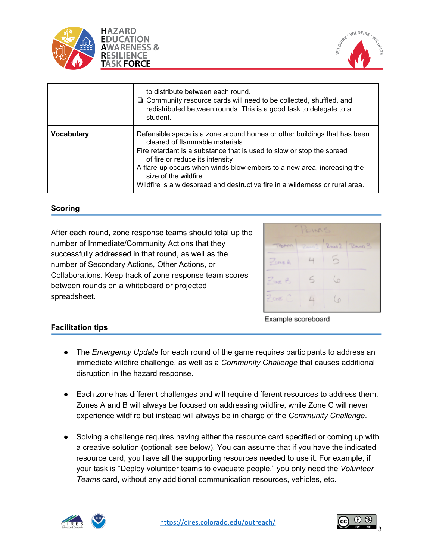



|                   | to distribute between each round.<br>$\Box$ Community resource cards will need to be collected, shuffled, and<br>redistributed between rounds. This is a good task to delegate to a<br>student.                                                                                                                                                                                                            |
|-------------------|------------------------------------------------------------------------------------------------------------------------------------------------------------------------------------------------------------------------------------------------------------------------------------------------------------------------------------------------------------------------------------------------------------|
| <b>Vocabulary</b> | Defensible space is a zone around homes or other buildings that has been<br>cleared of flammable materials.<br>Fire retardant is a substance that is used to slow or stop the spread<br>of fire or reduce its intensity<br>A flare-up occurs when winds blow embers to a new area, increasing the<br>size of the wildfire.<br>Wildfire is a widespread and destructive fire in a wilderness or rural area. |

## **Scoring**

After each round, zone response teams should total up the number of Immediate/Community Actions that they successfully addressed in that round, as well as the number of Secondary Actions, Other Actions, or Collaborations. Keep track of zone response team scores between rounds on a whiteboard or projected spreadsheet.

| POINTS             |  |  |                    |  |
|--------------------|--|--|--------------------|--|
| TERRITA            |  |  | Range Russel Range |  |
| $P$ une A          |  |  |                    |  |
| $P_{\text{out}}$ B |  |  |                    |  |
| $Z$ and $C$        |  |  |                    |  |

Example scoreboard

#### **Facilitation tips**

- The *Emergency Update* for each round of the game requires participants to address an immediate wildfire challenge, as well as a *Community Challenge* that causes additional disruption in the hazard response.
- Each zone has different challenges and will require different resources to address them. Zones A and B will always be focused on addressing wildfire, while Zone C will never experience wildfire but instead will always be in charge of the *Community Challenge*.
- Solving a challenge requires having either the resource card specified or coming up with a creative solution (optional; see below). You can assume that if you have the indicated resource card, you have all the supporting resources needed to use it. For example, if your task is "Deploy volunteer teams to evacuate people," you only need the *Volunteer Teams* card, without any additional communication resources, vehicles, etc.



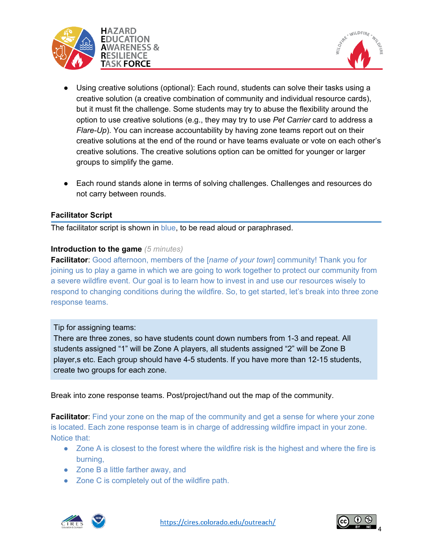



- **●** Using creative solutions (optional): Each round, students can solve their tasks using a creative solution (a creative combination of community and individual resource cards), but it must fit the challenge. Some students may try to abuse the flexibility around the option to use creative solutions (e.g., they may try to use *Pet Carrier* card to address a *Flare-Up*). You can increase accountability by having zone teams report out on their creative solutions at the end of the round or have teams evaluate or vote on each other's creative solutions. The creative solutions option can be omitted for younger or larger groups to simplify the game.
- **●** Each round stands alone in terms of solving challenges. Challenges and resources do not carry between rounds.

## **Facilitator Script**

The facilitator script is shown in blue, to be read aloud or paraphrased.

#### **Introduction to the game** *(5 minutes)*

**Facilitator**: Good afternoon, members of the [*name of your town*] community! Thank you for joining us to play a game in which we are going to work together to protect our community from a severe wildfire event. Our goal is to learn how to invest in and use our resources wisely to respond to changing conditions during the wildfire. So, to get started, let's break into three zone response teams.

#### Tip for assigning teams:

There are three zones, so have students count down numbers from 1-3 and repeat. All students assigned "1" will be Zone A players, all students assigned "2" will be Zone B player,s etc. Each group should have 4-5 students. If you have more than 12-15 students, create two groups for each zone.

Break into zone response teams. Post/project/hand out the map of the community.

**Facilitator:** Find your zone on the map of the community and get a sense for where your zone is located. Each zone response team is in charge of addressing wildfire impact in your zone. Notice that:

- Zone A is closest to the forest where the wildfire risk is the highest and where the fire is burning,
- Zone B a little farther away, and
- Zone C is completely out of the wildfire path.



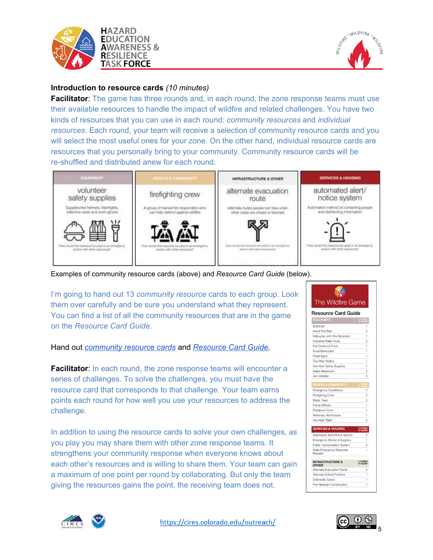



## **Introduction to resource cards** *(10 minutes)*

**Facilitator:** The game has three rounds and, in each round, the zone response teams must use their available resources to handle the impact of wildfire and related challenges. You have two kinds of resources that you can use in each round: *community resources* and *individual resources*. Each round, your team will receive a selection of community resource cards and you will select the most useful ones for your zone. On the other hand, individual resource cards are resources that you personally bring to your community. Community resource cards will be re-shuffled and distributed anew for each round.



Examples of community resource cards (above) and *Resource Card Guide* (below).

I'm going to hand out 13 *community resource* cards to each group. Look them over carefully and be sure you understand what they represent. You can find a list of all the community resources that are in the game on the *Resource Card Guide*.

#### Hand out *[community](https://drive.google.com/file/d/1ZQ_aPxBdNCkeMF5ElXMfLbHjT63QolNn/view?usp=sharing) resource cards* and *[Resource](https://drive.google.com/file/d/1u8fzvUm4Aytl553dQFaHRXUc5AHue41I/view?usp=sharing) Card Guide.*

**Facilitator:** In each round, the zone response teams will encounter a series of challenges. To solve the challenges, you must have the resource card that corresponds to that challenge. Your team earns points each round for how well you use your resources to address the challenge.

In addition to using the resource cards to solve your own challenges, as you play you may share them with other zone response teams. It strengthens your community response when everyone knows about each other's resources and is willing to share them. Your team can gain a maximum of one point per round by collaborating. But only the team giving the resources gains the point, the receiving team does not.





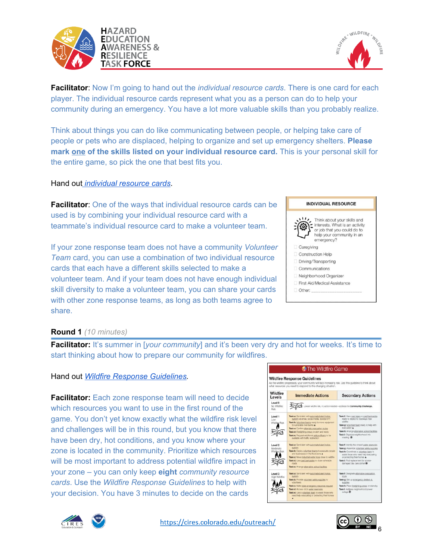



**Facilitator**: Now I'm going to hand out the *individual resource cards*. There is one card for each player. The individual resource cards represent what you as a person can do to help your community during an emergency. You have a lot more valuable skills than you probably realize.

Think about things you can do like communicating between people, or helping take care of people or pets who are displaced, helping to organize and set up emergency shelters. **Please mark one of the skills listed on your individual resource card.** This is your personal skill for the entire game, so pick the one that best fits you.

#### Hand ou[t](https://drive.google.com/file/d/1ZQ_aPxBdNCkeMF5ElXMfLbHjT63QolNn/view?usp=sharing) *[individual](https://drive.google.com/file/d/1ZQ_aPxBdNCkeMF5ElXMfLbHjT63QolNn/view?usp=sharing) resource cards*.

**Facilitator:** One of the ways that individual resource cards can be used is by combining your individual resource card with a teammate's individual resource card to make a volunteer team.

If your zone response team does not have a community *Volunteer Team* card, you can use a combination of two individual resource cards that each have a different skills selected to make a volunteer team. And if your team does not have enough individual skill diversity to make a volunteer team, you can share your cards with other zone response teams, as long as both teams agree to share.



#### **Round 1** *(10 minutes)*

**Facilitator:** It's summer in [*your community*] and it's been very dry and hot for weeks. It's time to start thinking about how to prepare our community for wildfires.

#### Hand out *Wildfire Response [Guidelines.](https://drive.google.com/file/d/1rbbJ0AG9vUYRjMJQjYi9OoG74lPF3mrA/view?usp=sharing)*

**Facilitator:** Each zone response team will need to decide which resources you want to use in the first round of the game. You don't yet know exactly what the wildfire risk level and challenges will be in this round, but you know that there have been dry, hot conditions, and you know where your zone is located in the community. Prioritize which resources will be most important to address potential wildfire impact in your zone – you can only keep **eight** *community resource cards*. Use the *Wildfire Response Guidelines* to help with your decision. You have 3 minutes to decide on the cards





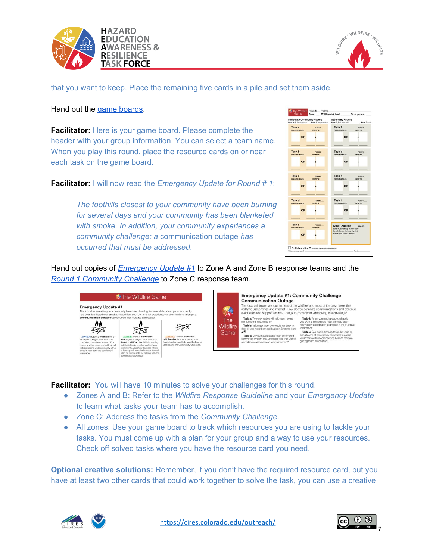



that you want to keep. Place the remaining five cards in a pile and set them aside.

Hand out the game [boards](https://drive.google.com/file/d/1XYW2MQ4ppi5hCBU76tExJp5NA7fU3dXq/view?usp=sharing).

**Facilitator:** Here is your game board. Please complete the header with your group information. You can select a team name. When you play this round, place the resource cards on or near each task on the game board.

**Facilitator:** I will now read the *Emergency Update for Round # 1*:

*The foothills closest to your community have been burning for several days and your community has been blanketed with smoke. In addition, your community experiences a community challenge: a* communication outage *has occurred that must be addressed*.



Hand out copies of *[Emergency](https://drive.google.com/file/d/1eRTon48eLY78NzS3ei9c4A9Ctg8_-QLt/view?usp=sharing) Update #1* to Zone A and Zone B response teams and the *Round 1 [Community](https://drive.google.com/file/d/1eRTon48eLY78NzS3ei9c4A9Ctg8_-QLt/view?usp=sharing) Challenge* to Zone C response team.



**Facilitator:** You will have 10 minutes to solve your challenges for this round.

- Zones A and B: Refer to the *Wildfire Response Guideline* and your *Emergency Update* to learn what tasks your team has to accomplish.
- Zone C: Address the tasks from the *Community Challenge*.
- All zones: Use your game board to track which resources you are using to tackle your tasks. You must come up with a plan for your group and a way to use your resources. Check off solved tasks where you have the resource card you need.

**Optional creative solutions:** Remember, if you don't have the required resource card, but you have at least two other cards that could work together to solve the task, you can use a creative



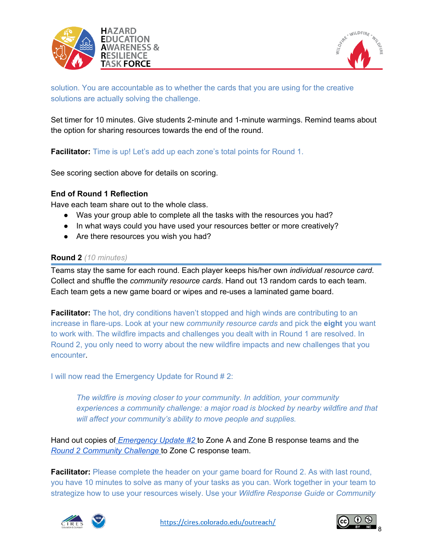



solution. You are accountable as to whether the cards that you are using for the creative solutions are actually solving the challenge.

Set timer for 10 minutes. Give students 2-minute and 1-minute warmings. Remind teams about the option for sharing resources towards the end of the round.

**Facilitator:** Time is up! Let's add up each zone's total points for Round 1.

See scoring section above for details on scoring.

#### **End of Round 1 Reflection**

Have each team share out to the whole class.

- Was your group able to complete all the tasks with the resources you had?
- In what ways could you have used your resources better or more creatively?
- Are there resources you wish you had?

#### **Round 2** *(10 minutes)*

Teams stay the same for each round. Each player keeps his/her own *individual resource card*. Collect and shuffle the *community resource cards*. Hand out 13 random cards to each team. Each team gets a new game board or wipes and re-uses a laminated game board.

**Facilitator:** The hot, dry conditions haven't stopped and high winds are contributing to an increase in flare-ups. Look at your new *community resource cards* and pick the **eight** you want to work with. The wildfire impacts and challenges you dealt with in Round 1 are resolved. In Round 2, you only need to worry about the new wildfire impacts and new challenges that you encounter.

I will now read the Emergency Update for Round # 2:

*The wildfire is moving closer to your community. In addition, your community experiences a community challenge: a major road is blocked by nearby wildfire and that will affect your community's ability to move people and supplies.*

Hand out copies of *[Emergency](https://drive.google.com/file/d/1eRTon48eLY78NzS3ei9c4A9Ctg8_-QLt/view?usp=sharing) Update #[2](https://drive.google.com/file/d/1eRTon48eLY78NzS3ei9c4A9Ctg8_-QLt/view?usp=sharing)* to Zone A and Zone B response teams and the *Round 2 [Community](https://drive.google.com/file/d/1eRTon48eLY78NzS3ei9c4A9Ctg8_-QLt/view?usp=sharing) Challenge* [t](https://drive.google.com/file/d/1eRTon48eLY78NzS3ei9c4A9Ctg8_-QLt/view?usp=sharing)o Zone C response team.

**Facilitator:** Please complete the header on your game board for Round 2. As with last round, you have 10 minutes to solve as many of your tasks as you can. Work together in your team to strategize how to use your resources wisely. Use your *Wildfire Response Guide* or *Community*



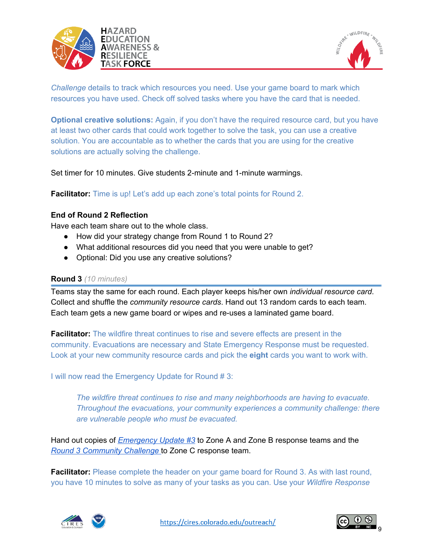



*Challenge* details to track which resources you need. Use your game board to mark which resources you have used. Check off solved tasks where you have the card that is needed.

**Optional creative solutions:** Again, if you don't have the required resource card, but you have at least two other cards that could work together to solve the task, you can use a creative solution. You are accountable as to whether the cards that you are using for the creative solutions are actually solving the challenge.

Set timer for 10 minutes. Give students 2-minute and 1-minute warmings.

**Facilitator:** Time is up! Let's add up each zone's total points for Round 2.

## **End of Round 2 Reflection**

Have each team share out to the whole class.

- How did your strategy change from Round 1 to Round 2?
- What additional resources did you need that you were unable to get?
- Optional: Did you use any creative solutions?

#### **Round 3** *(10 minutes)*

Teams stay the same for each round. Each player keeps his/her own *individual resource card*. Collect and shuffle the *community resource cards*. Hand out 13 random cards to each team. Each team gets a new game board or wipes and re-uses a laminated game board.

**Facilitator:** The wildfire threat continues to rise and severe effects are present in the community. Evacuations are necessary and State Emergency Response must be requested. Look at your new community resource cards and pick the **eight** cards you want to work with.

I will now read the Emergency Update for Round # 3:

*The wildfire threat continues to rise and many neighborhoods are having to evacuate. Throughout the evacuations, your community experiences a community challenge: there are vulnerable people who must be evacuated.*

Hand out copies of *[Emergency](https://drive.google.com/file/d/1eRTon48eLY78NzS3ei9c4A9Ctg8_-QLt/view?usp=sharing) Update #3* to Zone A and Zone B response teams and the *Round 3 [Community](https://drive.google.com/file/d/1eRTon48eLY78NzS3ei9c4A9Ctg8_-QLt/view?usp=sharing) Challenge* [t](https://drive.google.com/file/d/1eRTon48eLY78NzS3ei9c4A9Ctg8_-QLt/view?usp=sharing)o Zone C response team.

**Facilitator:** Please complete the header on your game board for Round 3. As with last round, you have 10 minutes to solve as many of your tasks as you can. Use your *Wildfire Response*



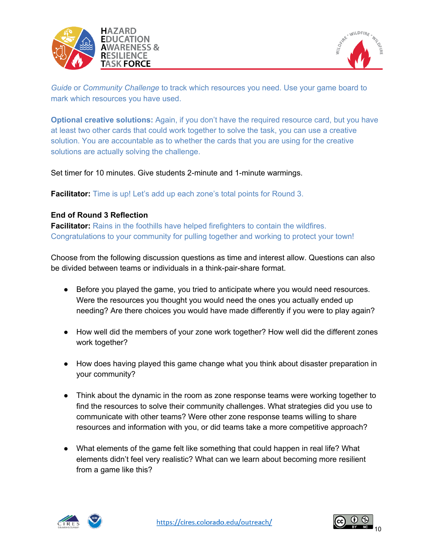



*Guide* or *Community Challenge* to track which resources you need. Use your game board to mark which resources you have used.

**Optional creative solutions:** Again, if you don't have the required resource card, but you have at least two other cards that could work together to solve the task, you can use a creative solution. You are accountable as to whether the cards that you are using for the creative solutions are actually solving the challenge.

Set timer for 10 minutes. Give students 2-minute and 1-minute warmings.

**Facilitator:** Time is up! Let's add up each zone's total points for Round 3.

## **End of Round 3 Reflection**

**Facilitator:** Rains in the foothills have helped firefighters to contain the wildfires. Congratulations to your community for pulling together and working to protect your town!

Choose from the following discussion questions as time and interest allow. Questions can also be divided between teams or individuals in a think-pair-share format.

- Before you played the game, you tried to anticipate where you would need resources. Were the resources you thought you would need the ones you actually ended up needing? Are there choices you would have made differently if you were to play again?
- How well did the members of your zone work together? How well did the different zones work together?
- How does having played this game change what you think about disaster preparation in your community?
- Think about the dynamic in the room as zone response teams were working together to find the resources to solve their community challenges. What strategies did you use to communicate with other teams? Were other zone response teams willing to share resources and information with you, or did teams take a more competitive approach?
- What elements of the game felt like something that could happen in real life? What elements didn't feel very realistic? What can we learn about becoming more resilient from a game like this?